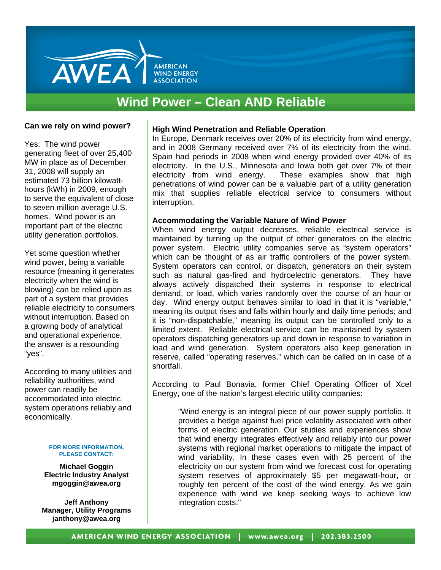

## **Wind Power – Clean AND Reliable**

#### **Can we rely on wind power?**

Yes. The wind power generating fleet of over 25,400 MW in place as of December 31, 2008 will supply an estimated 73 billion kilowatthours (kWh) in 2009, enough to serve the equivalent of close to seven million average U.S. homes. Wind power is an important part of the electric utility generation portfolios.

Yet some question whether wind power, being a variable resource (meaning it generates electricity when the wind is blowing) can be relied upon as part of a system that provides reliable electricity to consumers without interruption. Based on a growing body of analytical and operational experience, the answer is a resounding "yes".

According to many utilities and reliability authorities, wind power can readily be accommodated into electric system operations reliably and economically.

#### **FOR MORE INFORMATION, PLEASE CONTACT:**

**Michael Goggin Electric Industry Analyst mgoggin@awea.org** 

**Jeff Anthony Manager, Utility Programs janthony@awea.org**

#### **High Wind Penetration and Reliable Operation**

In Europe, Denmark receives over 20% of its electricity from wind energy, and in 2008 Germany received over 7% of its electricity from the wind. Spain had periods in 2008 when wind energy provided over 40% of its electricity. In the U.S., Minnesota and Iowa both get over 7% of their electricity from wind energy. These examples show that high penetrations of wind power can be a valuable part of a utility generation mix that supplies reliable electrical service to consumers without interruption.

### **Accommodating the Variable Nature of Wind Power**

 such as natural gas-fired and hydroelectric generators. They have When wind energy output decreases, reliable electrical service is maintained by turning up the output of other generators on the electric power system. Electric utility companies serve as "system operators" which can be thought of as air traffic controllers of the power system. System operators can control, or dispatch, generators on their system always actively dispatched their systems in response to electrical demand, or load, which varies randomly over the course of an hour or day. Wind energy output behaves similar to load in that it is "variable," meaning its output rises and falls within hourly and daily time periods; and it is "non-dispatchable," meaning its output can be controlled only to a limited extent. Reliable electrical service can be maintained by system operators dispatching generators up and down in response to variation in load and wind generation. System operators also keep generation in reserve, called "operating reserves," which can be called on in case of a shortfall.

According to Paul Bonavia, former Chief Operating Officer of Xcel Energy, one of the nation's largest electric utility companies:

"Wind energy is an integral piece of our power supply portfolio. It provides a hedge against fuel price volatility associated with other forms of electric generation. Our studies and experiences show that wind energy integrates effectively and reliably into our power systems with regional market operations to mitigate the impact of wind variability. In these cases even with 25 percent of the electricity on our system from wind we forecast cost for operating system reserves of approximately \$5 per megawatt-hour, or roughly ten percent of the cost of the wind energy. As we gain experience with wind we keep seeking ways to achieve low integration costs."